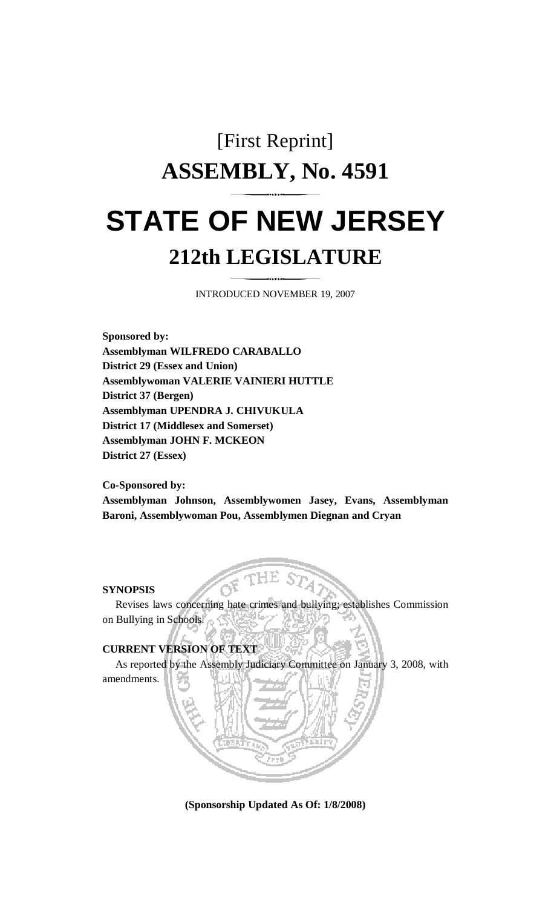# [First Reprint] **ASSEMBLY, No. 4591 STATE OF NEW JERSEY 212th LEGISLATURE**

INTRODUCED NOVEMBER 19, 2007

**Sponsored by: Assemblyman WILFREDO CARABALLO District 29 (Essex and Union) Assemblywoman VALERIE VAINIERI HUTTLE District 37 (Bergen) Assemblyman UPENDRA J. CHIVUKULA District 17 (Middlesex and Somerset) Assemblyman JOHN F. MCKEON District 27 (Essex)** 

**Co-Sponsored by:** 

**Assemblyman Johnson, Assemblywomen Jasey, Evans, Assemblyman Baroni, Assemblywoman Pou, Assemblymen Diegnan and Cryan** 

#### **SYNOPSIS**

 Revises laws concerning hate crimes and bullying; establishes Commission on Bullying in Schools.

## **CURRENT VERSION OF TEXT**

As reported by the Assembly Judiciary Committee on January 3, 2008, with

amendments.

**(Sponsorship Updated As Of: 1/8/2008)**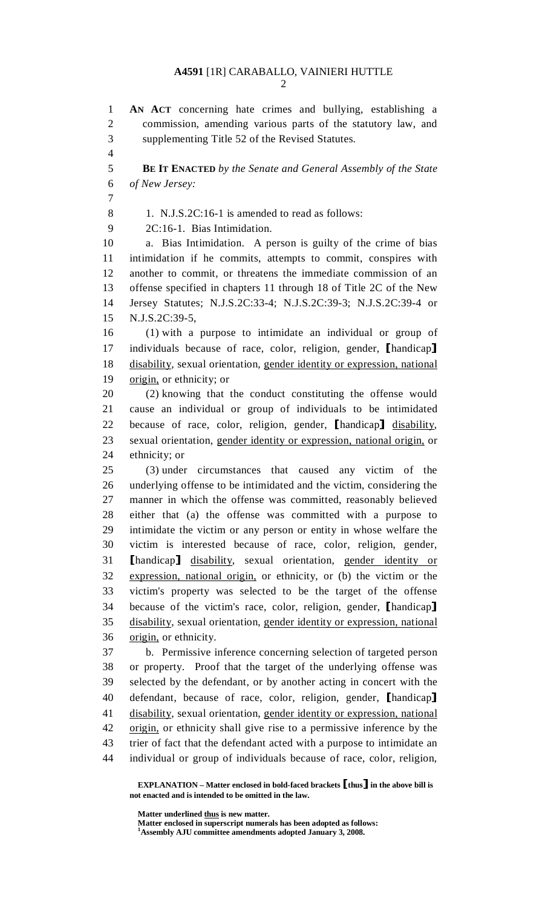2

1 **AN ACT** concerning hate crimes and bullying, establishing a 2 commission, amending various parts of the statutory law, and 3 supplementing Title 52 of the Revised Statutes. 4 5 **BE IT ENACTED** *by the Senate and General Assembly of the State*  6 *of New Jersey:* 7 8 1. N.J.S.2C:16-1 is amended to read as follows: 9 2C:16-1. Bias Intimidation. 10 a. Bias Intimidation. A person is guilty of the crime of bias 11 intimidation if he commits, attempts to commit, conspires with 12 another to commit, or threatens the immediate commission of an 13 offense specified in chapters 11 through 18 of Title 2C of the New 14 Jersey Statutes; N.J.S.2C:33-4; N.J.S.2C:39-3; N.J.S.2C:39-4 or 15 N.J.S.2C:39-5, 16 (1) with a purpose to intimidate an individual or group of 17 individuals because of race, color, religion, gender, [handicap]<br>18 disability, sexual orientation, gender identity or expression, national disability, sexual orientation, gender identity or expression, national 19 origin, or ethnicity; or 20 (2) knowing that the conduct constituting the offense would 21 cause an individual or group of individuals to be intimidated 22 because of race, color, religion, gender, [handicap] disability,<br>23 sexual orientation, gender identity or expression, national origin, or sexual orientation, gender identity or expression, national origin, or 24 ethnicity; or 25 (3) under circumstances that caused any victim of the 26 underlying offense to be intimidated and the victim, considering the 27 manner in which the offense was committed, reasonably believed 28 either that (a) the offense was committed with a purpose to 29 intimidate the victim or any person or entity in whose welfare the 30 victim is interested because of race, color, religion, gender, 31 [handicap] disability, sexual orientation, gender identity or<br>32 expression national origin or ethnicity or (b) the victim or the expression, national origin, or ethnicity, or (b) the victim or the 33 victim's property was selected to be the target of the offense 34 because of the victim's race, color, religion, gender, [handicap]<br>35 disability, sexual orientation, gender identity or expression, national disability, sexual orientation, gender identity or expression, national 36 origin, or ethnicity. 37 b. Permissive inference concerning selection of targeted person 38 or property. Proof that the target of the underlying offense was 39 selected by the defendant, or by another acting in concert with the 40 defendant, because of race, color, religion, gender, [handicap]<br>41 disability, sexual orientation, gender identity or expression, national disability, sexual orientation, gender identity or expression, national 42 origin, or ethnicity shall give rise to a permissive inference by the 43 trier of fact that the defendant acted with a purpose to intimidate an 44 individual or group of individuals because of race, color, religion,

 **EXPLANATION – Matter enclosed in bold-faced brackets** [**thus**] **in the above bill is not enacted and is intended to be omitted in the law.** 

 **Matter underlined thus is new matter.** 

 **Matter enclosed in superscript numerals has been adopted as follows: 1**

**Assembly AJU committee amendments adopted January 3, 2008.**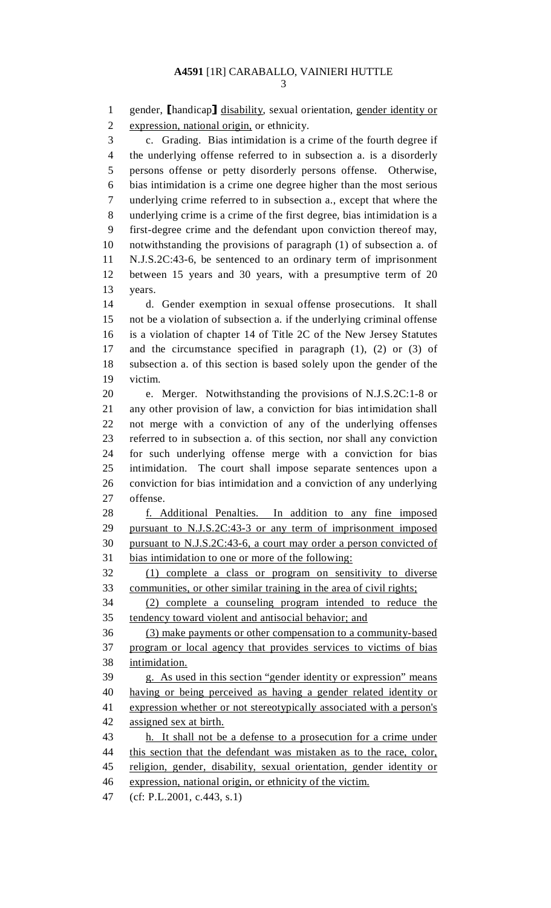1 gender, [handicap] disability, sexual orientation, gender identity or expression, national origin, or ethnicity. expression, national origin, or ethnicity. 3 c. Grading. Bias intimidation is a crime of the fourth degree if 4 the underlying offense referred to in subsection a. is a disorderly 5 persons offense or petty disorderly persons offense. Otherwise, 6 bias intimidation is a crime one degree higher than the most serious 7 underlying crime referred to in subsection a., except that where the 8 underlying crime is a crime of the first degree, bias intimidation is a 9 first-degree crime and the defendant upon conviction thereof may, 10 notwithstanding the provisions of paragraph (1) of subsection a. of 11 N.J.S.2C:43-6, be sentenced to an ordinary term of imprisonment 12 between 15 years and 30 years, with a presumptive term of 20 13 years. 14 d. Gender exemption in sexual offense prosecutions. It shall 15 not be a violation of subsection a. if the underlying criminal offense 16 is a violation of chapter 14 of Title 2C of the New Jersey Statutes 17 and the circumstance specified in paragraph (1), (2) or (3) of 18 subsection a. of this section is based solely upon the gender of the 19 victim. 20 e. Merger. Notwithstanding the provisions of N.J.S.2C:1-8 or 21 any other provision of law, a conviction for bias intimidation shall 22 not merge with a conviction of any of the underlying offenses 23 referred to in subsection a. of this section, nor shall any conviction 24 for such underlying offense merge with a conviction for bias 25 intimidation. The court shall impose separate sentences upon a 26 conviction for bias intimidation and a conviction of any underlying 27 offense. 28 f. Additional Penalties. In addition to any fine imposed 29 pursuant to N.J.S.2C:43-3 or any term of imprisonment imposed 30 pursuant to N.J.S.2C:43-6, a court may order a person convicted of 31 bias intimidation to one or more of the following: 32 (1) complete a class or program on sensitivity to diverse 33 communities, or other similar training in the area of civil rights; 34 (2) complete a counseling program intended to reduce the 35 tendency toward violent and antisocial behavior; and 36 (3) make payments or other compensation to a community-based 37 program or local agency that provides services to victims of bias 38 intimidation. 39 g. As used in this section "gender identity or expression" means 40 having or being perceived as having a gender related identity or 41 expression whether or not stereotypically associated with a person's 42 assigned sex at birth. 43 h. It shall not be a defense to a prosecution for a crime under 44 this section that the defendant was mistaken as to the race, color, 45 religion, gender, disability, sexual orientation, gender identity or 46 expression, national origin, or ethnicity of the victim.

47 (cf: P.L.2001, c.443, s.1)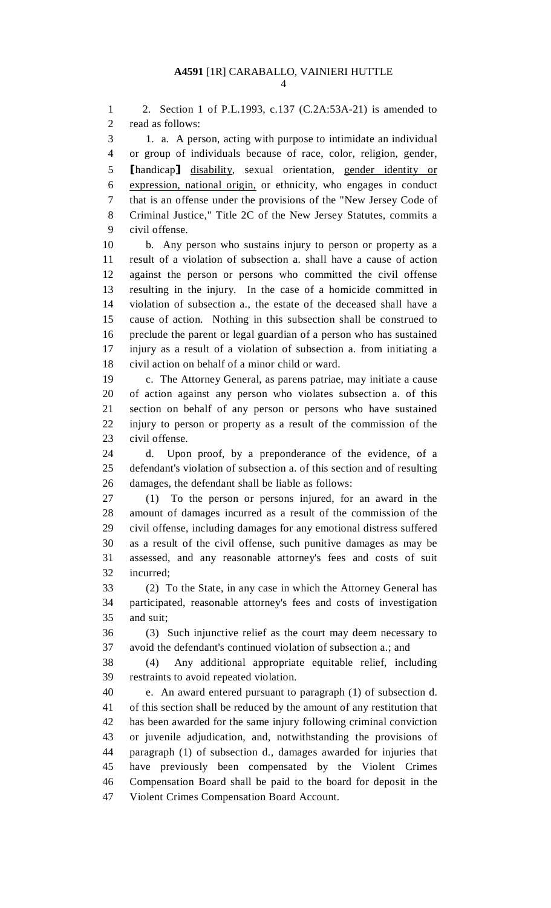1 2. Section 1 of P.L.1993, c.137 (C.2A:53A-21) is amended to 2 read as follows:

3 1. a. A person, acting with purpose to intimidate an individual 4 or group of individuals because of race, color, religion, gender, 5 [handicap] disability, sexual orientation, gender identity or expression, national origin, or ethnicity, who engages in conduct expression, national origin, or ethnicity, who engages in conduct 7 that is an offense under the provisions of the "New Jersey Code of 8 Criminal Justice," Title 2C of the New Jersey Statutes, commits a 9 civil offense.

10 b. Any person who sustains injury to person or property as a 11 result of a violation of subsection a. shall have a cause of action 12 against the person or persons who committed the civil offense 13 resulting in the injury. In the case of a homicide committed in 14 violation of subsection a., the estate of the deceased shall have a 15 cause of action. Nothing in this subsection shall be construed to 16 preclude the parent or legal guardian of a person who has sustained 17 injury as a result of a violation of subsection a. from initiating a 18 civil action on behalf of a minor child or ward.

19 c. The Attorney General, as parens patriae, may initiate a cause 20 of action against any person who violates subsection a. of this 21 section on behalf of any person or persons who have sustained 22 injury to person or property as a result of the commission of the 23 civil offense.

24 d. Upon proof, by a preponderance of the evidence, of a 25 defendant's violation of subsection a. of this section and of resulting 26 damages, the defendant shall be liable as follows:

27 (1) To the person or persons injured, for an award in the 28 amount of damages incurred as a result of the commission of the 29 civil offense, including damages for any emotional distress suffered 30 as a result of the civil offense, such punitive damages as may be 31 assessed, and any reasonable attorney's fees and costs of suit 32 incurred;

33 (2) To the State, in any case in which the Attorney General has 34 participated, reasonable attorney's fees and costs of investigation 35 and suit;

36 (3) Such injunctive relief as the court may deem necessary to 37 avoid the defendant's continued violation of subsection a.; and

38 (4) Any additional appropriate equitable relief, including 39 restraints to avoid repeated violation.

40 e. An award entered pursuant to paragraph (1) of subsection d. 41 of this section shall be reduced by the amount of any restitution that 42 has been awarded for the same injury following criminal conviction 43 or juvenile adjudication, and, notwithstanding the provisions of 44 paragraph (1) of subsection d., damages awarded for injuries that 45 have previously been compensated by the Violent Crimes 46 Compensation Board shall be paid to the board for deposit in the 47 Violent Crimes Compensation Board Account.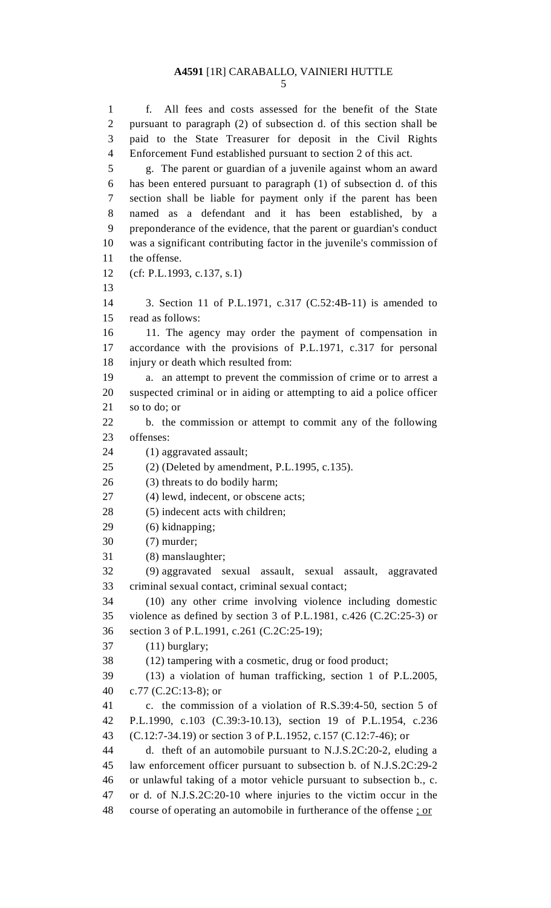1 f. All fees and costs assessed for the benefit of the State 2 pursuant to paragraph (2) of subsection d. of this section shall be 3 paid to the State Treasurer for deposit in the Civil Rights 4 Enforcement Fund established pursuant to section 2 of this act. 5 g. The parent or guardian of a juvenile against whom an award 6 has been entered pursuant to paragraph (1) of subsection d. of this 7 section shall be liable for payment only if the parent has been

8 named as a defendant and it has been established, by a 9 preponderance of the evidence, that the parent or guardian's conduct 10 was a significant contributing factor in the juvenile's commission of 11 the offense.

- 12 (cf: P.L.1993, c.137, s.1)
- 13

14 3. Section 11 of P.L.1971, c.317 (C.52:4B-11) is amended to

15 read as follows:

16 11. The agency may order the payment of compensation in 17 accordance with the provisions of P.L.1971, c.317 for personal 18 injury or death which resulted from:

19 a. an attempt to prevent the commission of crime or to arrest a 20 suspected criminal or in aiding or attempting to aid a police officer 21 so to do; or

22 b. the commission or attempt to commit any of the following 23 offenses:

24 (1) aggravated assault;

## 25 (2) (Deleted by amendment, P.L.1995, c.135).

26 (3) threats to do bodily harm;

27 (4) lewd, indecent, or obscene acts;

28 (5) indecent acts with children;

29 (6) kidnapping;

30 (7) murder;

31 (8) manslaughter;

32 (9) aggravated sexual assault, sexual assault, aggravated 33 criminal sexual contact, criminal sexual contact;

34 (10) any other crime involving violence including domestic 35 violence as defined by section 3 of P.L.1981, c.426 (C.2C:25-3) or 36 section 3 of P.L.1991, c.261 (C.2C:25-19);

37 (11) burglary;

38 (12) tampering with a cosmetic, drug or food product;

39 (13) a violation of human trafficking, section 1 of P.L.2005, 40 c.77 (C.2C:13-8); or

41 c. the commission of a violation of R.S.39:4-50, section 5 of 42 P.L.1990, c.103 (C.39:3-10.13), section 19 of P.L.1954, c.236 43 (C.12:7-34.19) or section 3 of P.L.1952, c.157 (C.12:7-46); or

44 d. theft of an automobile pursuant to N.J.S.2C:20-2, eluding a 45 law enforcement officer pursuant to subsection b. of N.J.S.2C:29-2 46 or unlawful taking of a motor vehicle pursuant to subsection b., c. 47 or d. of N.J.S.2C:20-10 where injuries to the victim occur in the 48 course of operating an automobile in furtherance of the offense ; or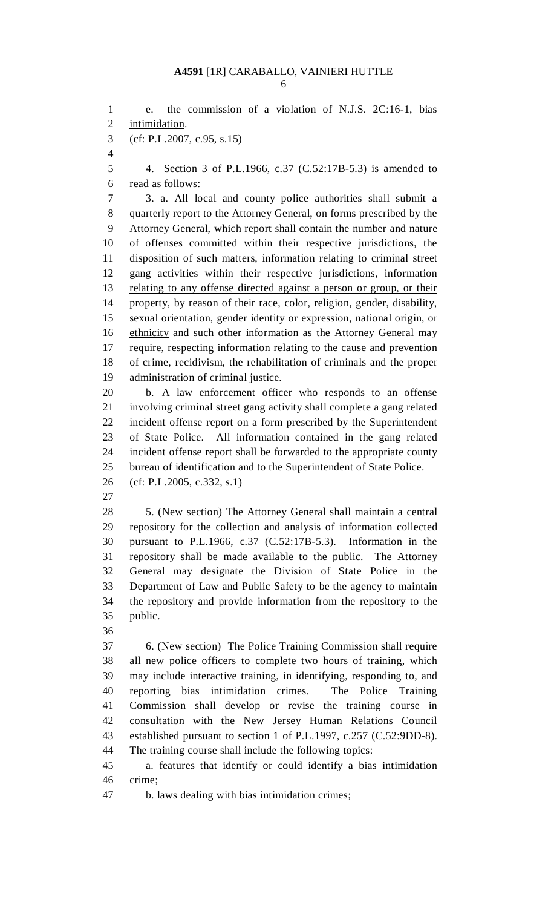1 e. the commission of a violation of N.J.S. 2C:16-1, bias 2 intimidation. 3 (cf: P.L.2007, c.95, s.15) 4 5 4. Section 3 of P.L.1966, c.37 (C.52:17B-5.3) is amended to 6 read as follows: 7 3. a. All local and county police authorities shall submit a 8 quarterly report to the Attorney General, on forms prescribed by the 9 Attorney General, which report shall contain the number and nature 10 of offenses committed within their respective jurisdictions, the 11 disposition of such matters, information relating to criminal street 12 gang activities within their respective jurisdictions, information 13 relating to any offense directed against a person or group, or their 14 property, by reason of their race, color, religion, gender, disability, 15 sexual orientation, gender identity or expression, national origin, or 16 ethnicity and such other information as the Attorney General may 17 require, respecting information relating to the cause and prevention 18 of crime, recidivism, the rehabilitation of criminals and the proper 19 administration of criminal justice. 20 b. A law enforcement officer who responds to an offense 21 involving criminal street gang activity shall complete a gang related 22 incident offense report on a form prescribed by the Superintendent 23 of State Police. All information contained in the gang related 24 incident offense report shall be forwarded to the appropriate county 25 bureau of identification and to the Superintendent of State Police. 26 (cf: P.L.2005, c.332, s.1) 27 28 5. (New section) The Attorney General shall maintain a central 29 repository for the collection and analysis of information collected 30 pursuant to P.L.1966, c.37 (C.52:17B-5.3). Information in the 31 repository shall be made available to the public. The Attorney 32 General may designate the Division of State Police in the 33 Department of Law and Public Safety to be the agency to maintain 34 the repository and provide information from the repository to the 35 public. 36 37 6. (New section) The Police Training Commission shall require 38 all new police officers to complete two hours of training, which 39 may include interactive training, in identifying, responding to, and 40 reporting bias intimidation crimes. The Police Training 41 Commission shall develop or revise the training course in 42 consultation with the New Jersey Human Relations Council 43 established pursuant to section 1 of P.L.1997, c.257 (C.52:9DD-8). 44 The training course shall include the following topics: 45 a. features that identify or could identify a bias intimidation 46 crime; 47 b. laws dealing with bias intimidation crimes;

6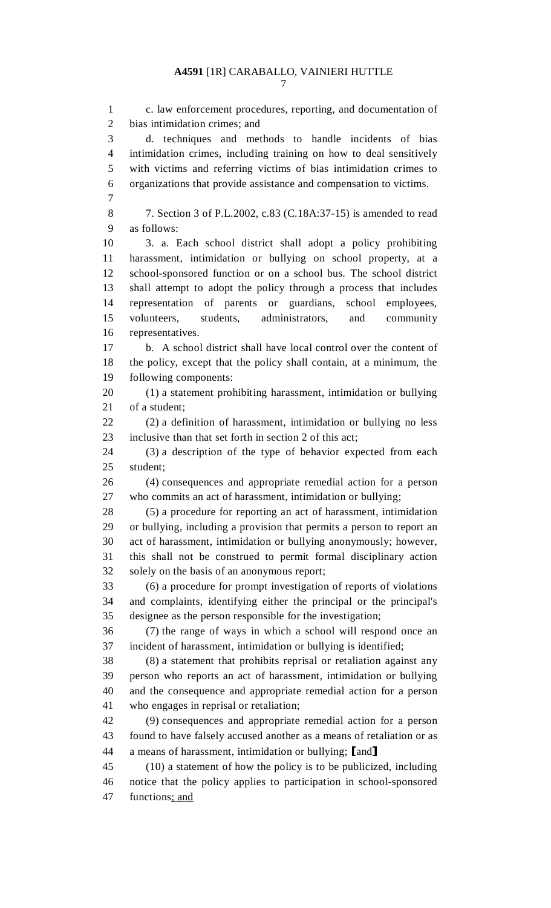1 c. law enforcement procedures, reporting, and documentation of 2 bias intimidation crimes; and 3 d. techniques and methods to handle incidents of bias 4 intimidation crimes, including training on how to deal sensitively 5 with victims and referring victims of bias intimidation crimes to 6 organizations that provide assistance and compensation to victims. 7 8 7. Section 3 of P.L.2002, c.83 (C.18A:37-15) is amended to read 9 as follows: 10 3. a. Each school district shall adopt a policy prohibiting 11 harassment, intimidation or bullying on school property, at a 12 school-sponsored function or on a school bus. The school district 13 shall attempt to adopt the policy through a process that includes 14 representation of parents or guardians, school employees, 15 volunteers, students, administrators, and community 16 representatives. 17 b. A school district shall have local control over the content of 18 the policy, except that the policy shall contain, at a minimum, the 19 following components: 20 (1) a statement prohibiting harassment, intimidation or bullying 21 of a student; 22 (2) a definition of harassment, intimidation or bullying no less 23 inclusive than that set forth in section 2 of this act; 24 (3) a description of the type of behavior expected from each 25 student; 26 (4) consequences and appropriate remedial action for a person 27 who commits an act of harassment, intimidation or bullying; 28 (5) a procedure for reporting an act of harassment, intimidation 29 or bullying, including a provision that permits a person to report an 30 act of harassment, intimidation or bullying anonymously; however, 31 this shall not be construed to permit formal disciplinary action 32 solely on the basis of an anonymous report; 33 (6) a procedure for prompt investigation of reports of violations 34 and complaints, identifying either the principal or the principal's 35 designee as the person responsible for the investigation; 36 (7) the range of ways in which a school will respond once an 37 incident of harassment, intimidation or bullying is identified; 38 (8) a statement that prohibits reprisal or retaliation against any 39 person who reports an act of harassment, intimidation or bullying 40 and the consequence and appropriate remedial action for a person 41 who engages in reprisal or retaliation; 42 (9) consequences and appropriate remedial action for a person 43 found to have falsely accused another as a means of retaliation or as 44 a means of harassment, intimidation or bullying; [and]<br>45 (10) a statement of how the policy is to be publicize  $(10)$  a statement of how the policy is to be publicized, including 46 notice that the policy applies to participation in school-sponsored 47 functions; and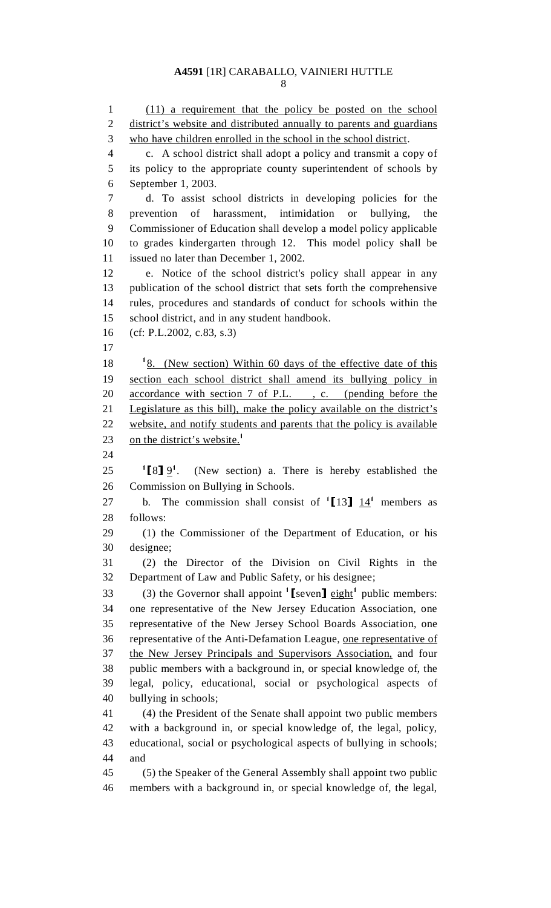8

1 (11) a requirement that the policy be posted on the school 2 district's website and distributed annually to parents and guardians 3 who have children enrolled in the school in the school district. 4 c. A school district shall adopt a policy and transmit a copy of 5 its policy to the appropriate county superintendent of schools by 6 September 1, 2003. 7 d. To assist school districts in developing policies for the 8 prevention of harassment, intimidation or bullying, the 9 Commissioner of Education shall develop a model policy applicable 10 to grades kindergarten through 12. This model policy shall be 11 issued no later than December 1, 2002. 12 e. Notice of the school district's policy shall appear in any 13 publication of the school district that sets forth the comprehensive 14 rules, procedures and standards of conduct for schools within the 15 school district, and in any student handbook. 16 (cf: P.L.2002, c.83, s.3) 17 18  $\frac{18}{8}$  (New section) Within 60 days of the effective date of this 19 section each school district shall amend its bullying policy in 20 accordance with section 7 of P.L., c. (pending before the 21 Legislature as this bill), make the policy available on the district's 22 website, and notify students and parents that the policy is available 23 on the district's website.<sup>1</sup> 24  $^{1}[8]9^{1}$ . 25  $\frac{18}{2}$   $\frac{9}{1}$ . (New section) a. There is hereby established the 26 Commission on Bullying in Schools. Commission on Bullying in Schools. 27 b. The commission shall consist of  $\left[13\right] \frac{14}{14}$  members as 28 follows: 29 (1) the Commissioner of the Department of Education, or his 30 designee; 31 (2) the Director of the Division on Civil Rights in the 32 Department of Law and Public Safety, or his designee; (3) the Governor shall appoint  $\left[ \text{seven} \right]$  eight<sup>1</sup> public members: 34 one representative of the New Jersey Education Association, one 35 representative of the New Jersey School Boards Association, one 36 representative of the Anti-Defamation League, one representative of 37 the New Jersey Principals and Supervisors Association, and four 38 public members with a background in, or special knowledge of, the 39 legal, policy, educational, social or psychological aspects of 40 bullying in schools; 41 (4) the President of the Senate shall appoint two public members 42 with a background in, or special knowledge of, the legal, policy, 43 educational, social or psychological aspects of bullying in schools; 44 and 45 (5) the Speaker of the General Assembly shall appoint two public 46 members with a background in, or special knowledge of, the legal,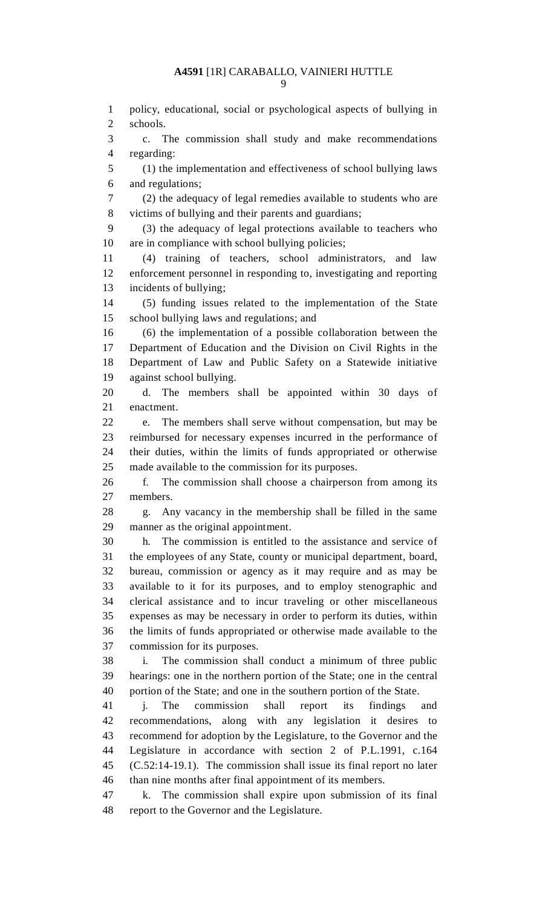1 policy, educational, social or psychological aspects of bullying in 2 schools. 3 c. The commission shall study and make recommendations 4 regarding: 5 (1) the implementation and effectiveness of school bullying laws 6 and regulations; 7 (2) the adequacy of legal remedies available to students who are 8 victims of bullying and their parents and guardians; 9 (3) the adequacy of legal protections available to teachers who 10 are in compliance with school bullying policies; 11 (4) training of teachers, school administrators, and law 12 enforcement personnel in responding to, investigating and reporting 13 incidents of bullying; 14 (5) funding issues related to the implementation of the State 15 school bullying laws and regulations; and 16 (6) the implementation of a possible collaboration between the 17 Department of Education and the Division on Civil Rights in the 18 Department of Law and Public Safety on a Statewide initiative 19 against school bullying. 20 d. The members shall be appointed within 30 days of 21 enactment. 22 e. The members shall serve without compensation, but may be 23 reimbursed for necessary expenses incurred in the performance of 24 their duties, within the limits of funds appropriated or otherwise 25 made available to the commission for its purposes. 26 f. The commission shall choose a chairperson from among its 27 members. 28 g. Any vacancy in the membership shall be filled in the same 29 manner as the original appointment. 30 h. The commission is entitled to the assistance and service of 31 the employees of any State, county or municipal department, board, 32 bureau, commission or agency as it may require and as may be 33 available to it for its purposes, and to employ stenographic and 34 clerical assistance and to incur traveling or other miscellaneous 35 expenses as may be necessary in order to perform its duties, within 36 the limits of funds appropriated or otherwise made available to the 37 commission for its purposes. 38 i. The commission shall conduct a minimum of three public 39 hearings: one in the northern portion of the State; one in the central 40 portion of the State; and one in the southern portion of the State. 41 j. The commission shall report its findings and 42 recommendations, along with any legislation it desires to 43 recommend for adoption by the Legislature, to the Governor and the 44 Legislature in accordance with section 2 of P.L.1991, c.164 45 (C.52:14-19.1). The commission shall issue its final report no later 46 than nine months after final appointment of its members. 47 k. The commission shall expire upon submission of its final

48 report to the Governor and the Legislature.